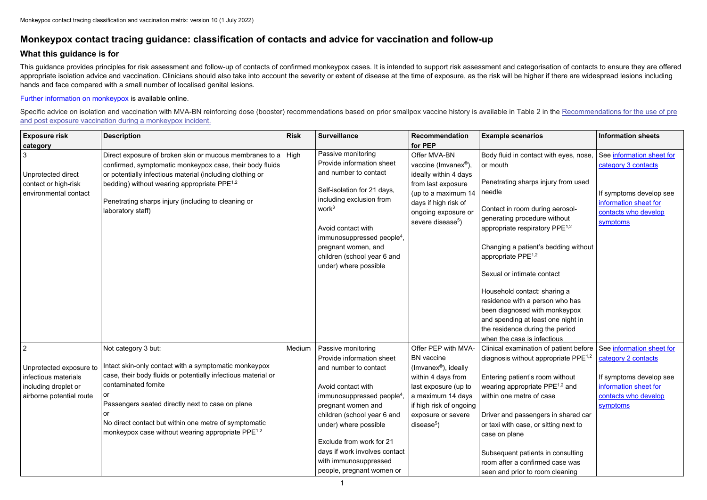## **Monkeypox contact tracing guidance: classification of contacts and advice for vaccination and follow-up**

## **What this guidance is for**

This guidance provides principles for risk assessment and follow-up of contacts of confirmed monkeypox cases. It is intended to support risk assessment and categorisation of contacts to ensure they are offered appropriate isolation advice and vaccination. Clinicians should also take into account the severity or extent of disease at the time of exposure, as the risk will be higher if there are widespread lesions including hands and face compared with a small number of localised genital lesions.

Specific advice on isolation and vaccination with MVA-BN reinforcing dose (booster) recommendations based on prior smallpox vaccine history is available in Table 2 in the Recommendations for the use of pre [and post exposure vaccination during a monkeypox incident.](https://www.gov.uk/government/publications/monkeypox-vaccination)

[Further information on monkeypox](https://www.gov.uk/government/collections/monkeypox-guidance) is available online.

| <b>Exposure risk</b><br>category                                                                                      | <b>Description</b>                                                                                                                                                                                                                                                                                                                                                   | <b>Risk</b> | <b>Surveillance</b>                                                                                                                                                                                                                                                                                                                     | <b>Recommendation</b><br>for PEP                                                                                                                                                                                 | <b>Example scenarios</b>                                                                                                                                                                                                                                                                                                                                                                                                                                                                                                          | <b>Information sheets</b>                                                                                                                |
|-----------------------------------------------------------------------------------------------------------------------|----------------------------------------------------------------------------------------------------------------------------------------------------------------------------------------------------------------------------------------------------------------------------------------------------------------------------------------------------------------------|-------------|-----------------------------------------------------------------------------------------------------------------------------------------------------------------------------------------------------------------------------------------------------------------------------------------------------------------------------------------|------------------------------------------------------------------------------------------------------------------------------------------------------------------------------------------------------------------|-----------------------------------------------------------------------------------------------------------------------------------------------------------------------------------------------------------------------------------------------------------------------------------------------------------------------------------------------------------------------------------------------------------------------------------------------------------------------------------------------------------------------------------|------------------------------------------------------------------------------------------------------------------------------------------|
| 3<br>Unprotected direct<br>contact or high-risk<br>environmental contact                                              | Direct exposure of broken skin or mucous membranes to a $\vert$ High<br>confirmed, symptomatic monkeypox case, their body fluids<br>or potentially infectious material (including clothing or<br>bedding) without wearing appropriate PPE <sup>1,2</sup><br>Penetrating sharps injury (including to cleaning or<br>laboratory staff)                                 |             | Passive monitoring<br>Provide information sheet<br>and number to contact<br>Self-isolation for 21 days,<br>including exclusion from<br>work <sup>3</sup><br>Avoid contact with<br>immunosuppressed people <sup>4</sup> ,<br>pregnant women, and<br>children (school year 6 and<br>under) where possible                                 | Offer MVA-BN<br>vaccine (Imvanex®),<br>ideally within 4 days<br>from last exposure<br>(up to a maximum 14<br>days if high risk of<br>ongoing exposure or<br>severe disease <sup>5</sup> )                        | Body fluid in contact with eyes, nose,<br>or mouth<br>Penetrating sharps injury from used<br>needle<br>Contact in room during aerosol-<br>generating procedure without<br>appropriate respiratory $PPE^{1,2}$<br>Changing a patient's bedding without<br>appropriate PPE <sup>1,2</sup><br>Sexual or intimate contact<br>Household contact: sharing a<br>residence with a person who has<br>been diagnosed with monkeypox<br>and spending at least one night in<br>the residence during the period<br>when the case is infectious | See information sheet for<br>category 3 contacts<br>If symptoms develop see<br>information sheet for<br>contacts who develop<br>symptoms |
| $\overline{2}$<br>Unprotected exposure to<br>infectious materials<br>including droplet or<br>airborne potential route | Not category 3 but:<br>Intact skin-only contact with a symptomatic monkeypox<br>case, their body fluids or potentially infectious material or<br>contaminated fomite<br><b>O</b><br>Passengers seated directly next to case on plane<br>or<br>No direct contact but within one metre of symptomatic<br>monkeypox case without wearing appropriate PPE <sup>1,2</sup> | Medium      | Passive monitoring<br>Provide information sheet<br>and number to contact<br>Avoid contact with<br>immunosuppressed people <sup>4</sup><br>pregnant women and<br>children (school year 6 and<br>under) where possible<br>Exclude from work for 21<br>days if work involves contact<br>with immunosuppressed<br>people, pregnant women or | Offer PEP with MVA-<br><b>BN</b> vaccine<br>(Imvanex <sup>®</sup> ), ideally<br>within 4 days from<br>last exposure (up to<br>a maximum 14 days<br>if high risk of ongoing<br>exposure or severe<br>$disease5$ ) | Clinical examination of patient before<br>diagnosis without appropriate $PPE^{1,2}$<br>Entering patient's room without<br>wearing appropriate PPE <sup>1,2</sup> and<br>within one metre of case<br>Driver and passengers in shared car<br>or taxi with case, or sitting next to<br>case on plane<br>Subsequent patients in consulting<br>room after a confirmed case was<br>seen and prior to room cleaning                                                                                                                      | See information sheet for<br>category 2 contacts<br>If symptoms develop see<br>information sheet for<br>contacts who develop<br>symptoms |